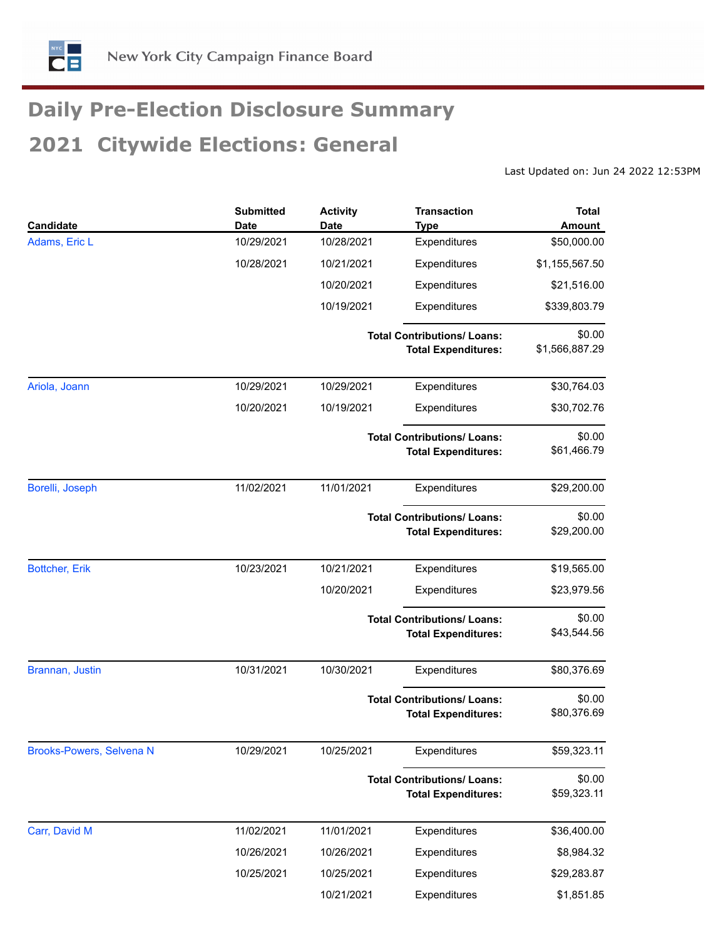

# **Daily Pre-Election Disclosure Summary**

## **2021 Citywide Elections : General**

Last Updated on: Jun 24 2022 12:53PM

| Candidate                       | <b>Submitted</b><br><b>Date</b> | <b>Activity</b><br><b>Date</b>                                   | <b>Transaction</b><br><b>Type</b>                                | <b>Total</b><br><b>Amount</b> |
|---------------------------------|---------------------------------|------------------------------------------------------------------|------------------------------------------------------------------|-------------------------------|
| Adams, Eric L                   | 10/29/2021                      | 10/28/2021                                                       | Expenditures                                                     | \$50,000.00                   |
|                                 | 10/28/2021                      | 10/21/2021                                                       | Expenditures                                                     | \$1,155,567.50                |
|                                 |                                 | 10/20/2021                                                       | Expenditures                                                     | \$21,516.00                   |
|                                 |                                 | 10/19/2021                                                       | Expenditures                                                     | \$339,803.79                  |
|                                 |                                 | <b>Total Contributions/ Loans:</b><br><b>Total Expenditures:</b> |                                                                  | \$0.00<br>\$1,566,887.29      |
| Ariola, Joann                   | 10/29/2021                      | 10/29/2021                                                       | Expenditures                                                     | \$30,764.03                   |
|                                 | 10/20/2021                      | 10/19/2021                                                       | Expenditures                                                     | \$30,702.76                   |
|                                 |                                 | <b>Total Contributions/ Loans:</b><br><b>Total Expenditures:</b> |                                                                  | \$0.00<br>\$61,466.79         |
| Borelli, Joseph                 | 11/02/2021                      | 11/01/2021                                                       | Expenditures                                                     | \$29,200.00                   |
|                                 |                                 | <b>Total Contributions/ Loans:</b><br><b>Total Expenditures:</b> |                                                                  | \$0.00<br>\$29,200.00         |
| <b>Bottcher, Erik</b>           | 10/23/2021                      | 10/21/2021                                                       | Expenditures                                                     | \$19,565.00                   |
|                                 |                                 | 10/20/2021                                                       | Expenditures                                                     | \$23,979.56                   |
|                                 |                                 | <b>Total Contributions/ Loans:</b><br><b>Total Expenditures:</b> |                                                                  | \$0.00<br>\$43,544.56         |
| Brannan, Justin                 | 10/31/2021                      | 10/30/2021                                                       | Expenditures                                                     | \$80,376.69                   |
|                                 |                                 |                                                                  | <b>Total Contributions/ Loans:</b><br><b>Total Expenditures:</b> | \$0.00<br>\$80,376.69         |
| <b>Brooks-Powers, Selvena N</b> | 10/29/2021                      | 10/25/2021                                                       | Expenditures                                                     | \$59,323.11                   |
|                                 |                                 | <b>Total Contributions/ Loans:</b><br><b>Total Expenditures:</b> |                                                                  | \$0.00<br>\$59,323.11         |
| Carr, David M                   | 11/02/2021                      | 11/01/2021                                                       | Expenditures                                                     | \$36,400.00                   |
|                                 | 10/26/2021                      | 10/26/2021                                                       | Expenditures                                                     | \$8,984.32                    |
|                                 | 10/25/2021                      | 10/25/2021                                                       | Expenditures                                                     | \$29,283.87                   |
|                                 |                                 | 10/21/2021                                                       | Expenditures                                                     | \$1,851.85                    |
|                                 |                                 |                                                                  |                                                                  |                               |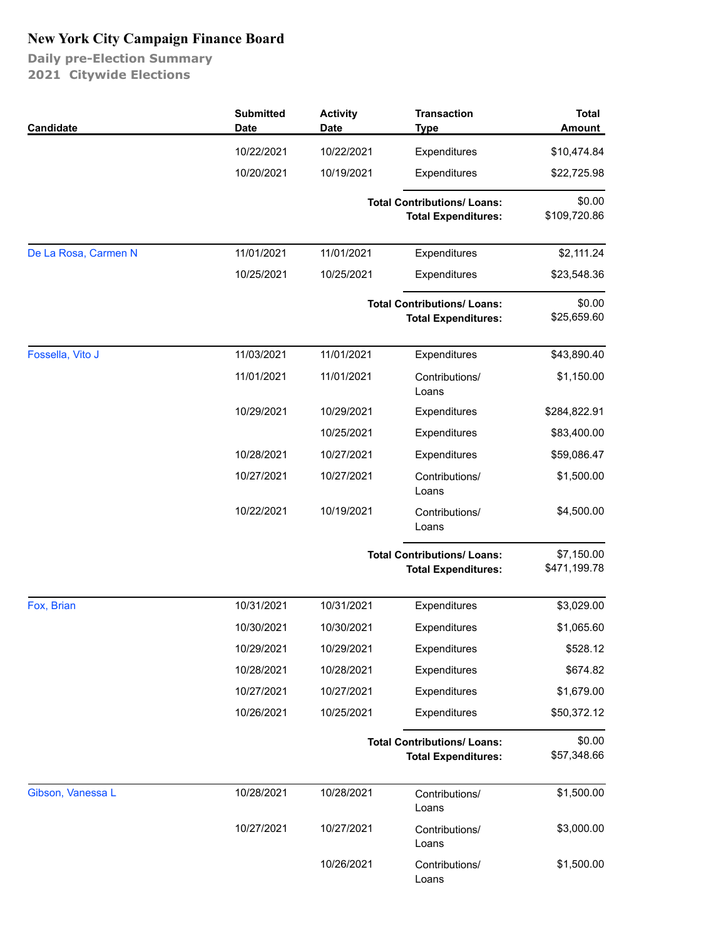| Candidate            | <b>Submitted</b><br><b>Date</b> | <b>Activity</b><br><b>Date</b>                                   | <b>Transaction</b><br><b>Type</b> | <b>Total</b><br><b>Amount</b> |
|----------------------|---------------------------------|------------------------------------------------------------------|-----------------------------------|-------------------------------|
|                      | 10/22/2021                      | 10/22/2021                                                       | Expenditures                      | \$10,474.84                   |
|                      | 10/20/2021                      | 10/19/2021                                                       | Expenditures                      | \$22,725.98                   |
|                      |                                 | <b>Total Contributions/ Loans:</b>                               | \$0.00<br>\$109,720.86            |                               |
| De La Rosa, Carmen N | 11/01/2021                      | 11/01/2021                                                       | Expenditures                      | \$2,111.24                    |
|                      | 10/25/2021                      | 10/25/2021                                                       | Expenditures                      | \$23,548.36                   |
|                      |                                 | <b>Total Contributions/Loans:</b>                                | \$0.00<br>\$25,659.60             |                               |
| Fossella, Vito J     | 11/03/2021                      | 11/01/2021                                                       | Expenditures                      | \$43,890.40                   |
|                      | 11/01/2021                      | 11/01/2021                                                       | Contributions/<br>Loans           | \$1,150.00                    |
|                      | 10/29/2021                      | 10/29/2021                                                       | Expenditures                      | \$284,822.91                  |
|                      |                                 | 10/25/2021                                                       | Expenditures                      | \$83,400.00                   |
|                      | 10/28/2021                      | 10/27/2021                                                       | Expenditures                      | \$59,086.47                   |
|                      | 10/27/2021                      | 10/27/2021                                                       | Contributions/<br>Loans           | \$1,500.00                    |
|                      | 10/22/2021                      | 10/19/2021                                                       | Contributions/<br>Loans           | \$4,500.00                    |
|                      |                                 | <b>Total Contributions/ Loans:</b><br><b>Total Expenditures:</b> |                                   | \$7,150.00<br>\$471,199.78    |
| Fox, Brian           | 10/31/2021                      | 10/31/2021                                                       | Expenditures                      | \$3,029.00                    |
|                      | 10/30/2021                      | 10/30/2021                                                       | Expenditures                      | \$1,065.60                    |
|                      | 10/29/2021                      | 10/29/2021                                                       | Expenditures                      | \$528.12                      |
|                      | 10/28/2021                      | 10/28/2021                                                       | Expenditures                      | \$674.82                      |
|                      | 10/27/2021                      | 10/27/2021                                                       | Expenditures                      | \$1,679.00                    |
|                      | 10/26/2021                      | 10/25/2021                                                       | Expenditures                      | \$50,372.12                   |
|                      |                                 | <b>Total Contributions/ Loans:</b><br><b>Total Expenditures:</b> |                                   | \$0.00<br>\$57,348.66         |
| Gibson, Vanessa L    | 10/28/2021                      | 10/28/2021                                                       | Contributions/<br>Loans           | \$1,500.00                    |
|                      | 10/27/2021                      | 10/27/2021                                                       | Contributions/<br>Loans           | \$3,000.00                    |
|                      |                                 | 10/26/2021                                                       | Contributions/<br>Loans           | \$1,500.00                    |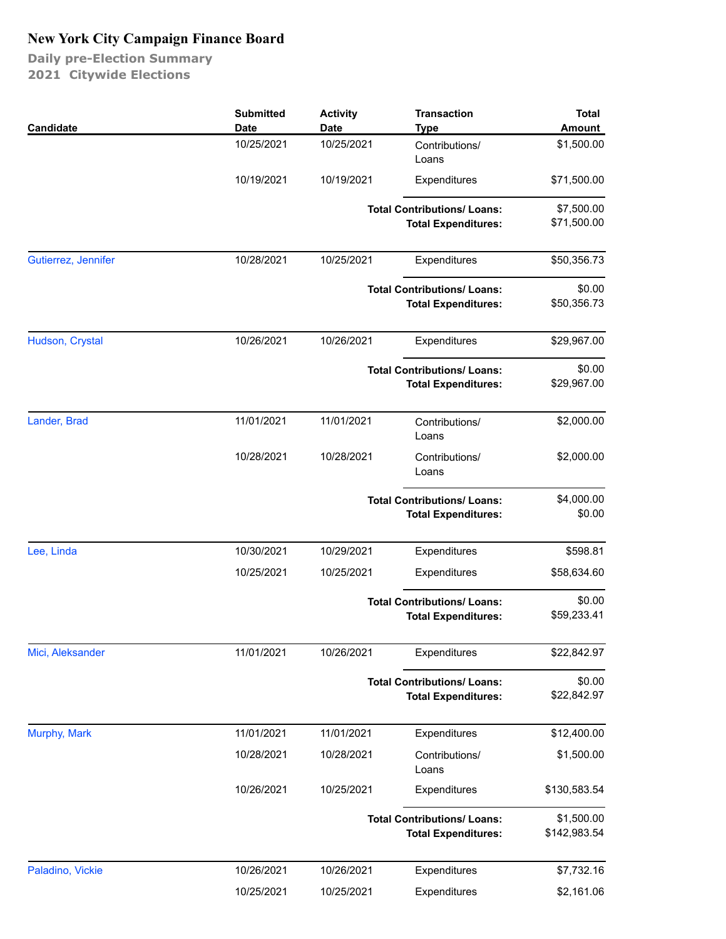|                     | <b>Submitted</b> | <b>Activity</b>                                                  | <b>Transaction</b>                 | <b>Total</b>               |
|---------------------|------------------|------------------------------------------------------------------|------------------------------------|----------------------------|
| Candidate           | <b>Date</b>      | <b>Date</b>                                                      | <b>Type</b>                        | <b>Amount</b>              |
|                     | 10/25/2021       | 10/25/2021                                                       | Contributions/<br>Loans            | \$1,500.00                 |
|                     | 10/19/2021       | 10/19/2021                                                       | Expenditures                       | \$71,500.00                |
|                     |                  |                                                                  | <b>Total Contributions/ Loans:</b> | \$7,500.00                 |
|                     |                  | <b>Total Expenditures:</b>                                       |                                    | \$71,500.00                |
| Gutierrez, Jennifer | 10/28/2021       | 10/25/2021                                                       | Expenditures                       | \$50,356.73                |
|                     |                  | <b>Total Contributions/Loans:</b>                                |                                    | \$0.00                     |
|                     |                  |                                                                  | \$50,356.73                        |                            |
| Hudson, Crystal     | 10/26/2021       | 10/26/2021                                                       | Expenditures                       | \$29,967.00                |
|                     |                  |                                                                  | <b>Total Contributions/ Loans:</b> | \$0.00                     |
|                     |                  |                                                                  | <b>Total Expenditures:</b>         | \$29,967.00                |
| Lander, Brad        | 11/01/2021       | 11/01/2021                                                       | Contributions/                     | \$2,000.00                 |
|                     |                  |                                                                  | Loans                              |                            |
|                     | 10/28/2021       | 10/28/2021                                                       | Contributions/<br>Loans            | \$2,000.00                 |
|                     |                  | <b>Total Contributions/ Loans:</b>                               |                                    | \$4,000.00                 |
|                     |                  |                                                                  | <b>Total Expenditures:</b>         | \$0.00                     |
| Lee, Linda          | 10/30/2021       | 10/29/2021                                                       | Expenditures                       | \$598.81                   |
|                     | 10/25/2021       | 10/25/2021                                                       | Expenditures                       | \$58,634.60                |
|                     |                  | <b>Total Contributions/ Loans:</b>                               |                                    | \$0.00                     |
|                     |                  |                                                                  | <b>Total Expenditures:</b>         | \$59,233.41                |
| Mici, Aleksander    | 11/01/2021       | 10/26/2021                                                       | Expenditures                       | \$22,842.97                |
|                     |                  | <b>Total Contributions/ Loans:</b>                               |                                    | \$0.00                     |
|                     |                  |                                                                  | <b>Total Expenditures:</b>         | \$22,842.97                |
| Murphy, Mark        | 11/01/2021       | 11/01/2021                                                       | Expenditures                       | \$12,400.00                |
|                     | 10/28/2021       | 10/28/2021                                                       | Contributions/<br>Loans            | \$1,500.00                 |
|                     | 10/26/2021       | 10/25/2021                                                       | Expenditures                       | \$130,583.54               |
|                     |                  | <b>Total Contributions/ Loans:</b><br><b>Total Expenditures:</b> |                                    | \$1,500.00<br>\$142,983.54 |
| Paladino, Vickie    | 10/26/2021       | 10/26/2021                                                       | Expenditures                       | \$7,732.16                 |
|                     | 10/25/2021       | 10/25/2021                                                       | Expenditures                       | \$2,161.06                 |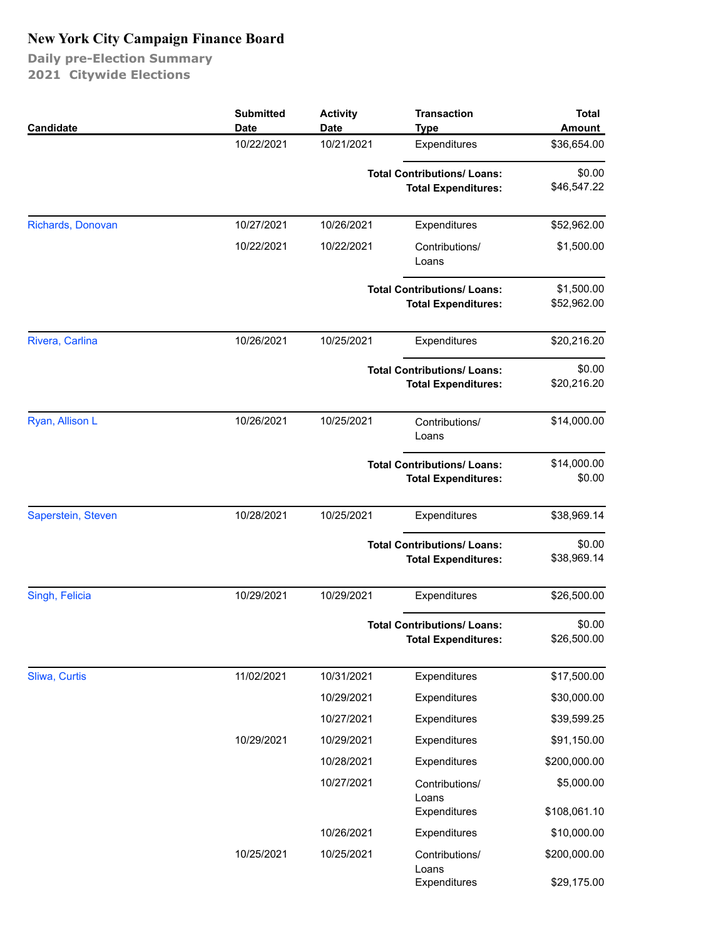| Candidate          | <b>Submitted</b><br><b>Date</b> | <b>Activity</b><br><b>Date</b>                                   | <b>Transaction</b><br><b>Type</b>  | <b>Total</b><br><b>Amount</b> |
|--------------------|---------------------------------|------------------------------------------------------------------|------------------------------------|-------------------------------|
|                    | 10/22/2021                      | 10/21/2021                                                       | Expenditures                       | \$36,654.00                   |
|                    |                                 |                                                                  | <b>Total Contributions/ Loans:</b> | \$0.00                        |
|                    |                                 |                                                                  | <b>Total Expenditures:</b>         | \$46,547.22                   |
| Richards, Donovan  | 10/27/2021                      | 10/26/2021                                                       | Expenditures                       | \$52,962.00                   |
|                    | 10/22/2021                      | 10/22/2021                                                       | Contributions/<br>Loans            | \$1,500.00                    |
|                    |                                 | <b>Total Contributions/Loans:</b>                                | \$1,500.00<br>\$52,962.00          |                               |
| Rivera, Carlina    | 10/26/2021                      | 10/25/2021                                                       | Expenditures                       | \$20,216.20                   |
|                    |                                 | <b>Total Contributions/ Loans:</b><br><b>Total Expenditures:</b> |                                    | \$0.00<br>\$20,216.20         |
| Ryan, Allison L    | 10/26/2021                      | 10/25/2021                                                       | Contributions/<br>Loans            | \$14,000.00                   |
|                    |                                 | <b>Total Contributions/ Loans:</b><br><b>Total Expenditures:</b> |                                    | \$14,000.00<br>\$0.00         |
| Saperstein, Steven | 10/28/2021                      | 10/25/2021                                                       | Expenditures                       | \$38,969.14                   |
|                    |                                 | <b>Total Contributions/ Loans:</b><br><b>Total Expenditures:</b> |                                    | \$0.00<br>\$38,969.14         |
| Singh, Felicia     | 10/29/2021                      | 10/29/2021                                                       | Expenditures                       | \$26,500.00                   |
|                    |                                 | <b>Total Contributions/ Loans:</b><br><b>Total Expenditures:</b> |                                    | \$0.00<br>\$26,500.00         |
| Sliwa, Curtis      | 11/02/2021                      | 10/31/2021                                                       | Expenditures                       | \$17,500.00                   |
|                    |                                 | 10/29/2021                                                       | Expenditures                       | \$30,000.00                   |
|                    |                                 | 10/27/2021                                                       | Expenditures                       | \$39,599.25                   |
|                    | 10/29/2021                      | 10/29/2021                                                       | Expenditures                       | \$91,150.00                   |
|                    |                                 | 10/28/2021                                                       | Expenditures                       | \$200,000.00                  |
|                    |                                 | 10/27/2021                                                       | Contributions/                     | \$5,000.00                    |
|                    |                                 |                                                                  | Loans<br>Expenditures              | \$108,061.10                  |
|                    |                                 | 10/26/2021                                                       | Expenditures                       | \$10,000.00                   |
|                    | 10/25/2021                      | 10/25/2021                                                       | Contributions/<br>Loans            | \$200,000.00                  |
|                    |                                 |                                                                  | Expenditures                       | \$29,175.00                   |